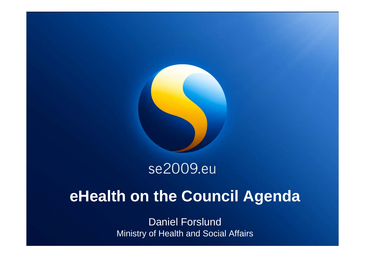

## se2009.eu

# **eHealth on the Council Agenda**

Daniel Forslund Ministry of Health and Social Affairs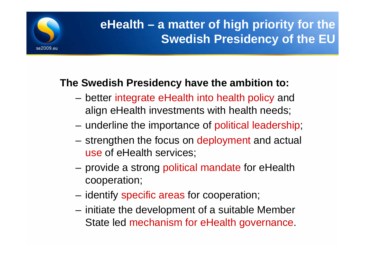

## **eHealth – a matter of high priority for the Swedish Presidency of the EU**

### **The Swedish Presidency have the ambition to:**

- better integrate eHealth into health policy and align eHealth investments with health needs;
- underline the importance of political leadership;
- strengthen the focus on deployment and actual use of eHealth services;
- – provide a strong political mandate for eHealth cooperation;
- identify specific areas for cooperation;
- initiate the development of a suitable Member State led mechanism for eHealth governance.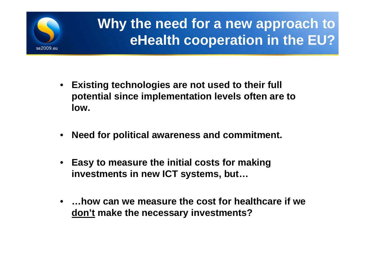

# **Why the need for a new approach to eHealth cooperation in the EU?**

- **Existing technologies are not used to their full potential since implementation levels often are to low.**
- $\bullet$ **Need for political awareness and commitment.**
- $\bullet$  **Easy to measure the initial costs for making investments in new ICT systems, but…**
- **…how can we measure the cost for healthcare if we don't make the necessary investments?**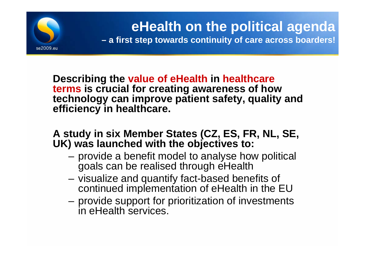

**Describing the value of eHealth in healthcare terms is crucial for creating awareness of how technology can improve patient safety, quality and efficiency in healthcare.**

### **A study in six Member States (CZ, ES, FR, NL, SE, UK) was launched with the objectives to:**

- provide a benefit model to analyse how political goals can be realised through eHealth
- visualize and quantify fact-based benefits of continued implementation of eHealth in the EU
- provide support for prioritization of investments in eHealth services.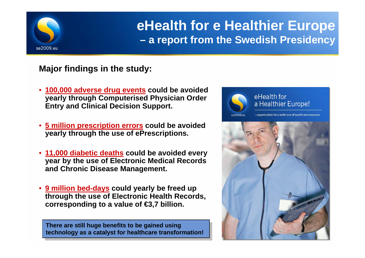

## **eHealth for e Healthier Europe a report from the Swedish Presidency**

**Major findings in the study:**

- **100,000 adverse drug events could be avoided yearly through Computerised Physician Order Entry and Clinical Decision Support.**
- **5 million prescription errors could be avoided yearly through the use of ePrescriptions.**
- **11,000 diabetic deaths could be avoided every year by the use of Electronic Medical Records and Chronic Disease Management.**
- **9 million bed-days could yearly be freed up through the use of Electronic Health Records, corresponding to a value of €3,7 billion.**

**There are still huge benefits to be gained using There are still huge benefits to be gained using technology as a catalyst for healthcare transformation! technology as a catalyst for healthcare transformation!** 

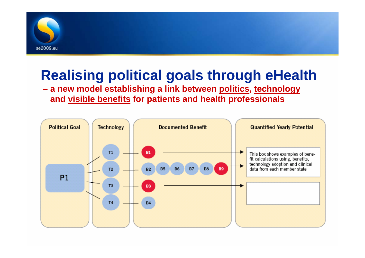

# **Realising political goals through eHealth**

### **– a new model establishing a link between politics, technology and visible benefits for patients and health professionals**

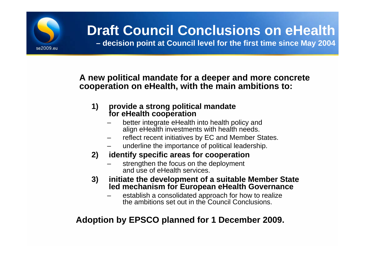

# **Draft Council Conclusions on eHealth**

**– decision point at Council level for the first time since May 2004**

#### **A new political mandate for a deeper and more concrete cooperation on eHealth, with the main ambitions to:**

#### **1) provide a strong political mandate for eHealth cooperation**

- better integrate eHealth into health policy and align eHealth investments with health needs.
- reflect recent initiatives by EC and Member States.
- underline the importance of political leadership.
- **2) identify specific areas for cooperation**
	- strengthen the focus on the deployment and use of eHealth services.
- **3) initiate the development of a suitable Member State led mechanism for European eHealth Governance**
	- establish a consolidated approach for how to realize the ambitions set out in the Council Conclusions.

### **Adoption by EPSCO planned for 1 December 2009.**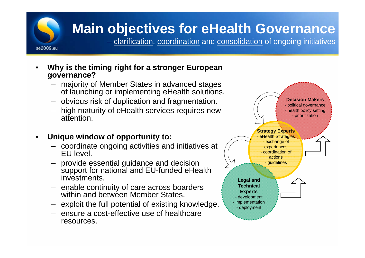

## **Main objectives for eHealth Governance**

– <u>clarification, coordination</u> and <u>consolidation</u> of ongoing initiatives

- • **Why is the timing right for a stronger European governance?**
	- majority of Member States in advanced stages of launching or implementing eHealth solutions.
	- obvious risk of duplication and fragmentation.
	- high maturity of eHealth services requires new attention.

#### •**Unique window of opportunity to:**

- coordinate ongoing activities and initiatives at EU level.
- provide essential guidance and decision support for national and EU-funded eHealth investments.
- enable continuity of care across boarders within and between Member States.
- exploit the full potential of existing knowledge.
- ensure a cost-effective use of healthcare resources.

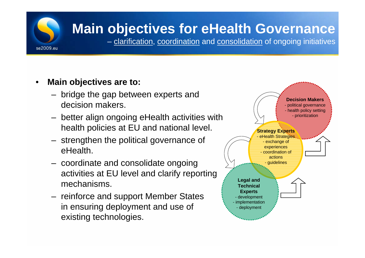# **Main objectives for eHealth Governance**

– <u>clarification, coordination</u> and <u>consolidation</u> of ongoing initiatives

 $\bullet$ **Main objectives are to:**

se2009.eu

- – bridge the gap between experts and decision makers.
- – better align ongoing eHealth activities with health policies at EU and national level.
- – strengthen the political governance of eHealth.
- – coordinate and consolidate ongoing activities at EU level and clarify reporting mechanisms.
- reinforce and support Member States in ensuring deployment and use of existing technologies.

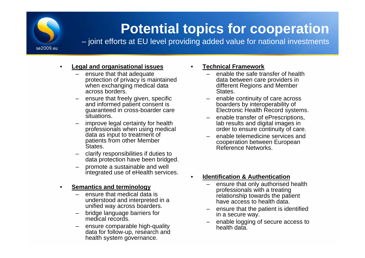

## **Potential topics for cooperation**

– joint efforts at EU level providing added value for national investments

#### $\bullet$ **Legal and organisational issues**

- ensure that that adequate protection of privacy is maintained when exchanging medical data across borders.
- ensure that freely given, specific and informed patient consent is guaranteed in cross-boarder care situations.
- improve legal certainty for health professionals when using medical data as input to treatment of patients from other Member **States**
- clarify responsibilities if duties to data protection have been bridged.
- promote a sustainable and well integrated use of eHealth services.

#### •**Semantics and terminology**

- ensure that medical data is understood and interpreted in a unified way across boarders.
- bridge language barriers for medical records.
- ensure comparable high-quality data for follow-up, research and health system governance.

#### •**Technical Framework**

- – enable the safe transfer of health data between care providers in different Regions and Member States.
- enable continuity of care across boarders by interoperability of Electronic Health Record systems.
- – enable transfer of ePrescriptions, lab results and digital images in order to ensure continuity of care.
- – enable telemedicine services and cooperation between European Reference Networks.
- • **Identification & Authentication**
	- – ensure that only authorised health professionals with a treating relationship towards the patient have access to health data.
	- ensure that the patient is identified in a secure way.
	- enable logging of secure access to health data.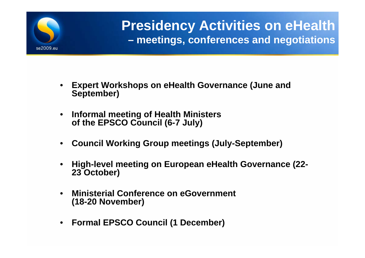

### **Presidency Activities on eHealth – meetings, conferences and negotiations**

- • **Expert Workshops on eHealth Governance (June and September)**
- • **Informal meeting of Health Ministers of the EPSCO Council (6-7 July)**
- $\bullet$ **Council Working Group meetings (July-September)**
- • **High-level meeting on European eHealth Governance (22- 23 October)**
- $\bullet$  **Ministerial Conference on eGovernment (18-20 November)**
- $\bullet$ **Formal EPSCO Council (1 December)**